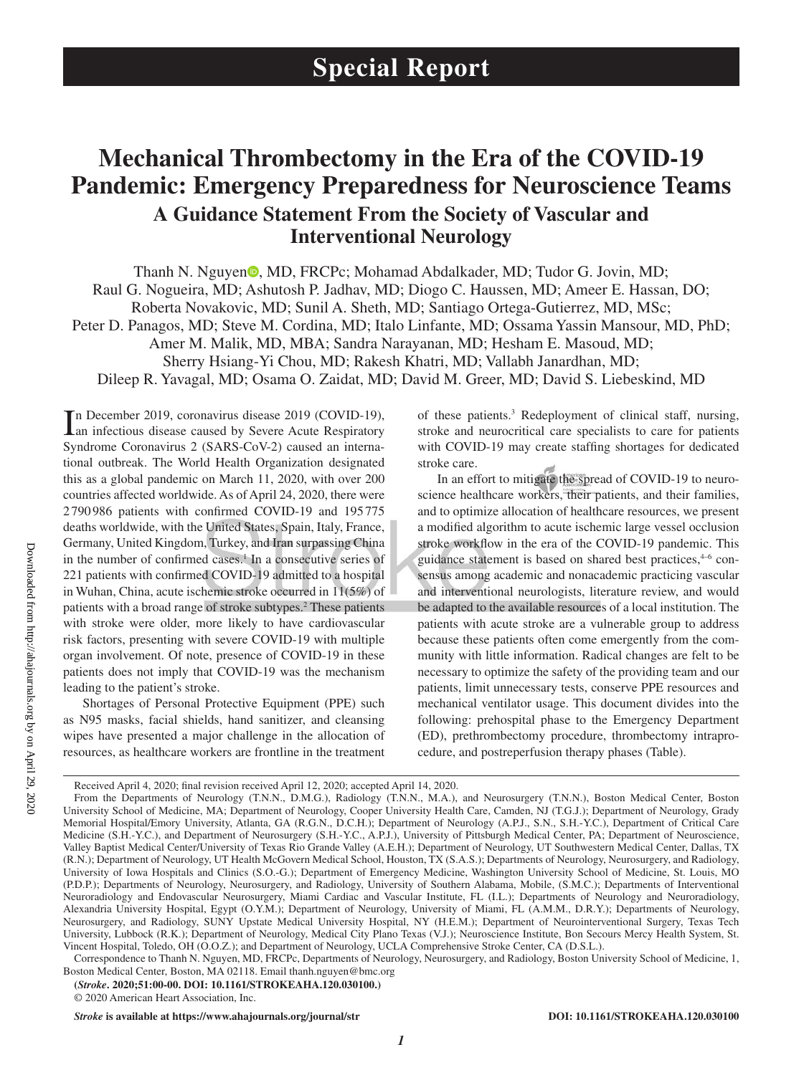# **Mechanical Thrombectomy in the Era of the COVID-19 Pandemic: Emergency Preparedness for Neuroscience Teams A Guidance Statement From the Society of Vascular and Interventional Neurology**

Tha[n](https://orcid.org/0000-0002-2810-1685)h N. Nguyen<sup>®</sup>, MD, FRCPc; Mohamad Abdalkader, MD; Tudor G. Jovin, MD; Raul G. Nogueira, MD; Ashutosh P. Jadhav, MD; Diogo C. Haussen, MD; Ameer E. Hassan, DO; Roberta Novakovic, MD; Sunil A. Sheth, MD; Santiago Ortega-Gutierrez, MD, MSc; Peter D. Panagos, MD; Steve M. Cordina, MD; Italo Linfante, MD; Ossama Yassin Mansour, MD, PhD; Amer M. Malik, MD, MBA; Sandra Narayanan, MD; Hesham E. Masoud, MD; Sherry Hsiang-Yi Chou, MD; Rakesh Khatri, MD; Vallabh Janardhan, MD; Dileep R. Yavagal, MD; Osama O. Zaidat, MD; David M. Greer, MD; David S. Liebeskind, MD

In December 2019, coronavirus disease 2019 (COVID-19), an infectious disease caused by Severe Acute Respiratory n December 2019, coronavirus disease 2019 (COVID-19), Syndrome Coronavirus 2 (SARS-CoV-2) caused an international outbreak. The World Health Organization designated this as a global pandemic on March 11, 2020, with over 200 countries affected worldwide. As of April 24, 2020, there were 2790986 patients with confirmed COVID-19 and 195775 deaths worldwide, with the United States, Spain, Italy, France, Germany, United Kingdom, Turkey, and Iran surpassing China in the number of confirmed cases.<sup>1</sup> In a consecutive series of 221 patients with confirmed COVID-19 admitted to a hospital in Wuhan, China, acute ischemic stroke occurred in 11(5%) of patients with a broad range of stroke subtypes.2 These patients with stroke were older, more likely to have cardiovascular risk factors, presenting with severe COVID-19 with multiple organ involvement. Of note, presence of COVID-19 in these patients does not imply that COVID-19 was the mechanism leading to the patient's stroke.

Shortages of Personal Protective Equipment (PPE) such as N95 masks, facial shields, hand sanitizer, and cleansing wipes have presented a major challenge in the allocation of resources, as healthcare workers are frontline in the treatment

of these patients.3 Redeployment of clinical staff, nursing, stroke and neurocritical care specialists to care for patients with COVID-19 may create staffing shortages for dedicated stroke care.

In an effort to mitigate the spread of COVID-19 to neuroscience healthcare workers, their patients, and their families, and to optimize allocation of healthcare resources, we present a modified algorithm to acute ischemic large vessel occlusion stroke workflow in the era of the COVID-19 pandemic. This guidance statement is based on shared best practices,<sup>4-6</sup> consensus among academic and nonacademic practicing vascular and interventional neurologists, literature review, and would be adapted to the available resources of a local institution. The patients with acute stroke are a vulnerable group to address because these patients often come emergently from the community with little information. Radical changes are felt to be necessary to optimize the safety of the providing team and our patients, limit unnecessary tests, conserve PPE resources and mechanical ventilator usage. This document divides into the following: prehospital phase to the Emergency Department (ED), prethrombectomy procedure, thrombectomy intraprocedure, and postreperfusion therapy phases (Table).

**(***Stroke***. 2020;51:00-00. DOI: 10.1161/STROKEAHA.120.030100.)**

*Stroke* is available at https://www.ahajournals.org/journal/str **DOI: 10.1161/STROKEAHA.120.030100** 

Downloaded from http://ahajournals.org by on April 29, 2020 Downloaded from http://ahajournals.org by on April 29, 2020

Received April 4, 2020; final revision received April 12, 2020; accepted April 14, 2020.

From the Departments of Neurology (T.N.N., D.M.G.), Radiology (T.N.N., M.A.), and Neurosurgery (T.N.N.), Boston Medical Center, Boston University School of Medicine, MA; Department of Neurology, Cooper University Health Care, Camden, NJ (T.G.J.); Department of Neurology, Grady Memorial Hospital/Emory University, Atlanta, GA (R.G.N., D.C.H.); Department of Neurology (A.P.J., S.N., S.H.-Y.C.), Department of Critical Care Medicine (S.H.-Y.C.), and Department of Neurosurgery (S.H.-Y.C., A.P.J.), University of Pittsburgh Medical Center, PA; Department of Neuroscience, Valley Baptist Medical Center/University of Texas Rio Grande Valley (A.E.H.); Department of Neurology, UT Southwestern Medical Center, Dallas, TX (R.N.); Department of Neurology, UT Health McGovern Medical School, Houston, TX (S.A.S.); Departments of Neurology, Neurosurgery, and Radiology, University of Iowa Hospitals and Clinics (S.O.-G.); Department of Emergency Medicine, Washington University School of Medicine, St. Louis, MO (P.D.P.); Departments of Neurology, Neurosurgery, and Radiology, University of Southern Alabama, Mobile, (S.M.C.); Departments of Interventional Neuroradiology and Endovascular Neurosurgery, Miami Cardiac and Vascular Institute, FL (I.L.); Departments of Neurology and Neuroradiology, Alexandria University Hospital, Egypt (O.Y.M.); Department of Neurology, University of Miami, FL (A.M.M., D.R.Y.); Departments of Neurology, Neurosurgery, and Radiology, SUNY Upstate Medical University Hospital, NY (H.E.M.); Department of Neurointerventional Surgery, Texas Tech University, Lubbock (R.K.); Department of Neurology, Medical City Plano Texas (V.J.); Neuroscience Institute, Bon Secours Mercy Health System, St. Vincent Hospital, Toledo, OH (O.O.Z.); and Department of Neurology, UCLA Comprehensive Stroke Center, CA (D.S.L.).

Correspondence to Thanh N. Nguyen, MD, FRCPc, Departments of Neurology, Neurosurgery, and Radiology, Boston University School of Medicine, 1, Boston Medical Center, Boston, MA 02118. Email [thanh.nguyen@bmc.org](mailto:thanh.nguyen@bmc.org)

<sup>© 2020</sup> American Heart Association, Inc.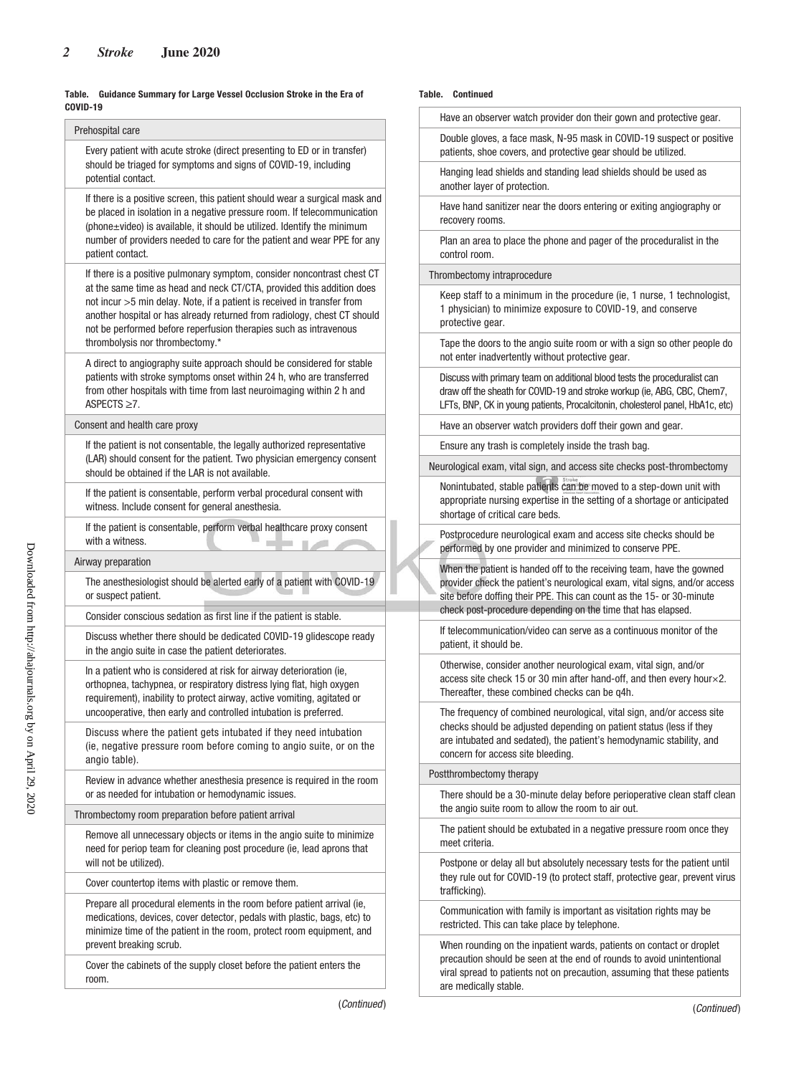#### **Table. Guidance Summary for Large Vessel Occlusion Stroke in the Era of COVID-19**

| Prehospital care                                                                                                                                                                                                                                                                                                                                                                                                |
|-----------------------------------------------------------------------------------------------------------------------------------------------------------------------------------------------------------------------------------------------------------------------------------------------------------------------------------------------------------------------------------------------------------------|
| Every patient with acute stroke (direct presenting to ED or in transfer)<br>should be triaged for symptoms and signs of COVID-19, including<br>potential contact.                                                                                                                                                                                                                                               |
| If there is a positive screen, this patient should wear a surgical mask and<br>be placed in isolation in a negative pressure room. If telecommunication<br>(phone±video) is available, it should be utilized. Identify the minimum<br>number of providers needed to care for the patient and wear PPE for any                                                                                                   |
| patient contact.                                                                                                                                                                                                                                                                                                                                                                                                |
| If there is a positive pulmonary symptom, consider noncontrast chest CT<br>at the same time as head and neck CT/CTA, provided this addition does<br>not incur >5 min delay. Note, if a patient is received in transfer from<br>another hospital or has already returned from radiology, chest CT should<br>not be performed before reperfusion therapies such as intravenous<br>thrombolysis nor thrombectomy.* |
| A direct to angiography suite approach should be considered for stable<br>patients with stroke symptoms onset within 24 h, who are transferred<br>from other hospitals with time from last neuroimaging within 2 h and<br>ASPECTS $\geq 7$ .                                                                                                                                                                    |
| Consent and health care proxy                                                                                                                                                                                                                                                                                                                                                                                   |
| If the patient is not consentable, the legally authorized representative<br>(LAR) should consent for the patient. Two physician emergency consent<br>should be obtained if the LAR is not available.                                                                                                                                                                                                            |
| If the patient is consentable, perform verbal procedural consent with<br>witness. Include consent for general anesthesia.                                                                                                                                                                                                                                                                                       |
| If the patient is consentable, perform verbal healthcare proxy consent<br>with a witness.                                                                                                                                                                                                                                                                                                                       |
| Airway preparation                                                                                                                                                                                                                                                                                                                                                                                              |
| The anesthesiologist should be alerted early of a patient with COVID-19<br>or suspect patient.                                                                                                                                                                                                                                                                                                                  |
| Consider conscious sedation as first line if the patient is stable.                                                                                                                                                                                                                                                                                                                                             |
| Discuss whether there should be dedicated COVID-19 glidescope ready<br>in the angio suite in case the patient deteriorates.                                                                                                                                                                                                                                                                                     |
| In a patient who is considered at risk for airway deterioration (ie,<br>orthopnea, tachypnea, or respiratory distress lying flat, high oxygen<br>requirement), inability to protect airway, active vomiting, agitated or<br>uncooperative, then early and controlled intubation is preferred.                                                                                                                   |
| Discuss where the patient gets intubated if they need intubation<br>(ie, negative pressure room before coming to angio suite, or on the<br>angio table).                                                                                                                                                                                                                                                        |
| Review in advance whether anesthesia presence is required in the room<br>or as needed for intubation or hemodynamic issues.                                                                                                                                                                                                                                                                                     |
| Thrombectomy room preparation before patient arrival                                                                                                                                                                                                                                                                                                                                                            |
| Remove all unnecessary objects or items in the angio suite to minimize<br>need for periop team for cleaning post procedure (ie, lead aprons that<br>will not be utilized).                                                                                                                                                                                                                                      |
| Cover countertop items with plastic or remove them.                                                                                                                                                                                                                                                                                                                                                             |
| Prepare all procedural elements in the room before patient arrival (ie,<br>medications, devices, cover detector, pedals with plastic, bags, etc) to<br>minimize time of the patient in the room, protect room equipment, and                                                                                                                                                                                    |
| prevent breaking scrub.<br>Cover the cabinets of the supply closet before the patient enters the                                                                                                                                                                                                                                                                                                                |

#### **Table. Continued**

| Have an observer watch provider don their gown and protective gear. |
|---------------------------------------------------------------------|
|---------------------------------------------------------------------|

 Double gloves, a face mask, N-95 mask in COVID-19 suspect or positive patients, shoe covers, and protective gear should be utilized.

 Hanging lead shields and standing lead shields should be used as another layer of protection.

 Have hand sanitizer near the doors entering or exiting angiography or recovery rooms.

 Plan an area to place the phone and pager of the proceduralist in the control room.

Thrombectomy intraprocedure

 Keep staff to a minimum in the procedure (ie, 1 nurse, 1 technologist, 1 physician) to minimize exposure to COVID-19, and conserve protective gear.

 Tape the doors to the angio suite room or with a sign so other people do not enter inadvertently without protective gear.

 Discuss with primary team on additional blood tests the proceduralist can draw off the sheath for COVID-19 and stroke workup (ie, ABG, CBC, Chem7, LFTs, BNP, CK in young patients, Procalcitonin, cholesterol panel, HbA1c, etc)

Have an observer watch providers doff their gown and gear.

Ensure any trash is completely inside the trash bag.

Neurological exam, vital sign, and access site checks post-thrombectomy

 Nonintubated, stable patients can be moved to a step-down unit with appropriate nursing expertise in the setting of a shortage or anticipated shortage of critical care beds.

 Postprocedure neurological exam and access site checks should be performed by one provider and minimized to conserve PPE.

 When the patient is handed off to the receiving team, have the gowned provider check the patient's neurological exam, vital signs, and/or access site before doffing their PPE. This can count as the 15- or 30-minute check post-procedure depending on the time that has elapsed.

 If telecommunication/video can serve as a continuous monitor of the patient, it should be.

 Otherwise, consider another neurological exam, vital sign, and/or access site check 15 or 30 min after hand-off, and then every hour×2. Thereafter, these combined checks can be q4h.

 The frequency of combined neurological, vital sign, and/or access site checks should be adjusted depending on patient status (less if they are intubated and sedated), the patient's hemodynamic stability, and concern for access site bleeding.

Postthrombectomy therapy

 There should be a 30-minute delay before perioperative clean staff clean the angio suite room to allow the room to air out.

 The patient should be extubated in a negative pressure room once they meet criteria.

 Postpone or delay all but absolutely necessary tests for the patient until they rule out for COVID-19 (to protect staff, protective gear, prevent virus trafficking).

 Communication with family is important as visitation rights may be restricted. This can take place by telephone.

 When rounding on the inpatient wards, patients on contact or droplet precaution should be seen at the end of rounds to avoid unintentional viral spread to patients not on precaution, assuming that these patients are medically stable.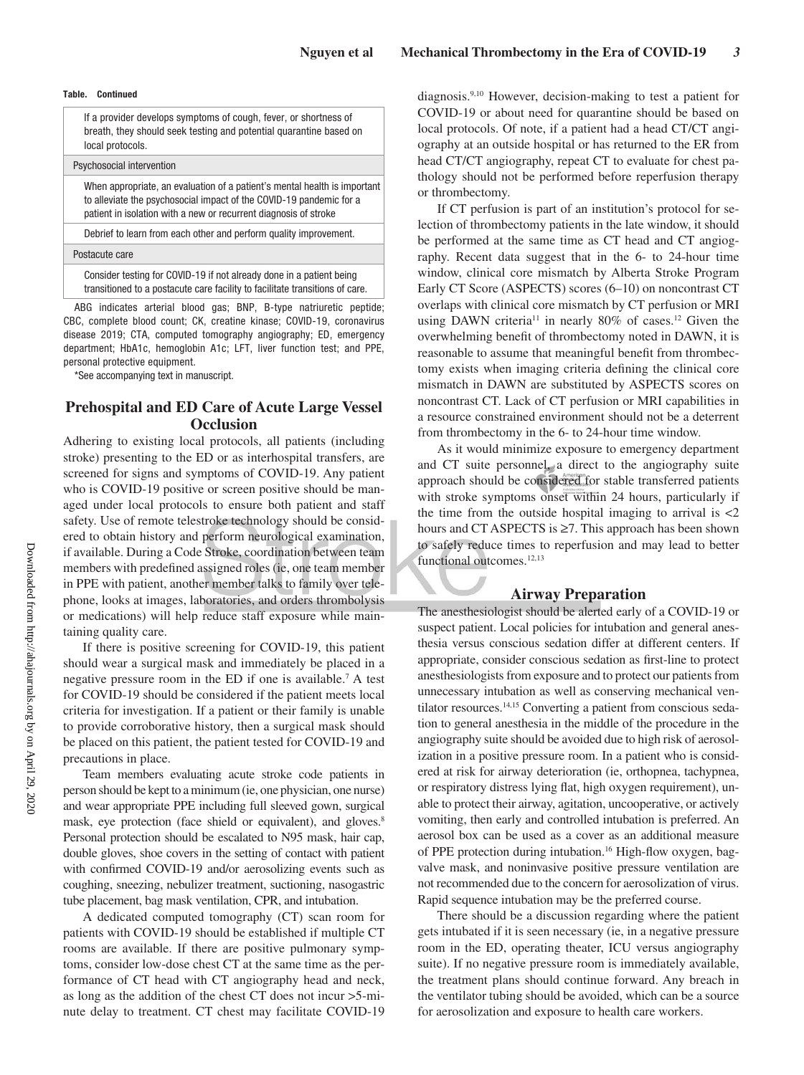#### **Table. Continued**

 If a provider develops symptoms of cough, fever, or shortness of breath, they should seek testing and potential quarantine based on local protocols.

## Psychosocial intervention

 When appropriate, an evaluation of a patient's mental health is important to alleviate the psychosocial impact of the COVID-19 pandemic for a patient in isolation with a new or recurrent diagnosis of stroke

Debrief to learn from each other and perform quality improvement.

Postacute care

 Consider testing for COVID-19 if not already done in a patient being transitioned to a postacute care facility to facilitate transitions of care.

ABG indicates arterial blood gas; BNP, B-type natriuretic peptide; CBC, complete blood count; CK, creatine kinase; COVID-19, coronavirus disease 2019; CTA, computed tomography angiography; ED, emergency department; HbA1c, hemoglobin A1c; LFT, liver function test; and PPE, personal protective equipment.

\*See accompanying text in manuscript.

# **Prehospital and ED Care of Acute Large Vessel Occlusion**

Adhering to existing local protocols, all patients (including stroke) presenting to the ED or as interhospital transfers, are screened for signs and symptoms of COVID-19. Any patient who is COVID-19 positive or screen positive should be managed under local protocols to ensure both patient and staff safety. Use of remote telestroke technology should be considered to obtain history and perform neurological examination, if available. During a Code Stroke, coordination between team members with predefined assigned roles (ie, one team member in PPE with patient, another member talks to family over telephone, looks at images, laboratories, and orders thrombolysis or medications) will help reduce staff exposure while maintaining quality care.

If there is positive screening for COVID-19, this patient should wear a surgical mask and immediately be placed in a negative pressure room in the ED if one is available.7 A test for COVID-19 should be considered if the patient meets local criteria for investigation. If a patient or their family is unable to provide corroborative history, then a surgical mask should be placed on this patient, the patient tested for COVID-19 and precautions in place.

Team members evaluating acute stroke code patients in person should be kept to a minimum (ie, one physician, one nurse) and wear appropriate PPE including full sleeved gown, surgical mask, eye protection (face shield or equivalent), and gloves.<sup>8</sup> Personal protection should be escalated to N95 mask, hair cap, double gloves, shoe covers in the setting of contact with patient with confirmed COVID-19 and/or aerosolizing events such as coughing, sneezing, nebulizer treatment, suctioning, nasogastric tube placement, bag mask ventilation, CPR, and intubation.

A dedicated computed tomography (CT) scan room for patients with COVID-19 should be established if multiple CT rooms are available. If there are positive pulmonary symptoms, consider low-dose chest CT at the same time as the performance of CT head with CT angiography head and neck, as long as the addition of the chest CT does not incur >5-minute delay to treatment. CT chest may facilitate COVID-19 diagnosis.9,10 However, decision-making to test a patient for COVID-19 or about need for quarantine should be based on local protocols. Of note, if a patient had a head CT/CT angiography at an outside hospital or has returned to the ER from head CT/CT angiography, repeat CT to evaluate for chest pathology should not be performed before reperfusion therapy or thrombectomy.

If CT perfusion is part of an institution's protocol for selection of thrombectomy patients in the late window, it should be performed at the same time as CT head and CT angiography. Recent data suggest that in the 6- to 24-hour time window, clinical core mismatch by Alberta Stroke Program Early CT Score (ASPECTS) scores (6–10) on noncontrast CT overlaps with clinical core mismatch by CT perfusion or MRI using DAWN criteria<sup>11</sup> in nearly 80% of cases.<sup>12</sup> Given the overwhelming benefit of thrombectomy noted in DAWN, it is reasonable to assume that meaningful benefit from thrombectomy exists when imaging criteria defining the clinical core mismatch in DAWN are substituted by ASPECTS scores on noncontrast CT. Lack of CT perfusion or MRI capabilities in a resource constrained environment should not be a deterrent from thrombectomy in the 6- to 24-hour time window.

As it would minimize exposure to emergency department and CT suite personnel, a direct to the angiography suite approach should be considered for stable transferred patients with stroke symptoms onset within 24 hours, particularly if the time from the outside hospital imaging to arrival is  $\langle 2 \rangle$ hours and CT ASPECTS is ≥7. This approach has been shown to safely reduce times to reperfusion and may lead to better functional outcomes.<sup>12,13</sup>

#### **Airway Preparation**

The anesthesiologist should be alerted early of a COVID-19 or suspect patient. Local policies for intubation and general anesthesia versus conscious sedation differ at different centers. If appropriate, consider conscious sedation as first-line to protect anesthesiologists from exposure and to protect our patients from unnecessary intubation as well as conserving mechanical ventilator resources.<sup>14,15</sup> Converting a patient from conscious sedation to general anesthesia in the middle of the procedure in the angiography suite should be avoided due to high risk of aerosolization in a positive pressure room. In a patient who is considered at risk for airway deterioration (ie, orthopnea, tachypnea, or respiratory distress lying flat, high oxygen requirement), unable to protect their airway, agitation, uncooperative, or actively vomiting, then early and controlled intubation is preferred. An aerosol box can be used as a cover as an additional measure of PPE protection during intubation.<sup>16</sup> High-flow oxygen, bagvalve mask, and noninvasive positive pressure ventilation are not recommended due to the concern for aerosolization of virus. Rapid sequence intubation may be the preferred course.

There should be a discussion regarding where the patient gets intubated if it is seen necessary (ie, in a negative pressure room in the ED, operating theater, ICU versus angiography suite). If no negative pressure room is immediately available, the treatment plans should continue forward. Any breach in the ventilator tubing should be avoided, which can be a source for aerosolization and exposure to health care workers.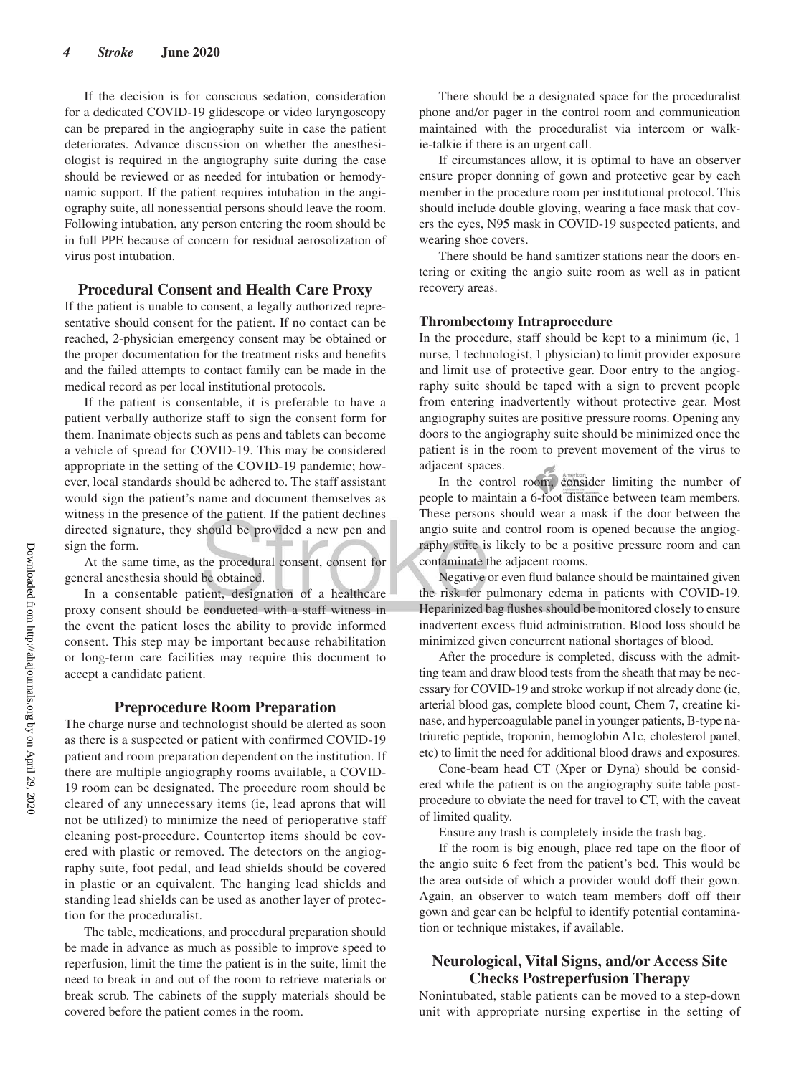If the decision is for conscious sedation, consideration for a dedicated COVID-19 glidescope or video laryngoscopy can be prepared in the angiography suite in case the patient deteriorates. Advance discussion on whether the anesthesiologist is required in the angiography suite during the case should be reviewed or as needed for intubation or hemodynamic support. If the patient requires intubation in the angiography suite, all nonessential persons should leave the room. Following intubation, any person entering the room should be in full PPE because of concern for residual aerosolization of virus post intubation.

#### **Procedural Consent and Health Care Proxy**

If the patient is unable to consent, a legally authorized representative should consent for the patient. If no contact can be reached, 2-physician emergency consent may be obtained or the proper documentation for the treatment risks and benefits and the failed attempts to contact family can be made in the medical record as per local institutional protocols.

If the patient is consentable, it is preferable to have a patient verbally authorize staff to sign the consent form for them. Inanimate objects such as pens and tablets can become a vehicle of spread for COVID-19. This may be considered appropriate in the setting of the COVID-19 pandemic; however, local standards should be adhered to. The staff assistant would sign the patient's name and document themselves as witness in the presence of the patient. If the patient declines directed signature, they should be provided a new pen and sign the form.

At the same time, as the procedural consent, consent for general anesthesia should be obtained.

In a consentable patient, designation of a healthcare proxy consent should be conducted with a staff witness in the event the patient loses the ability to provide informed consent. This step may be important because rehabilitation or long-term care facilities may require this document to accept a candidate patient.

#### **Preprocedure Room Preparation**

The charge nurse and technologist should be alerted as soon as there is a suspected or patient with confirmed COVID-19 patient and room preparation dependent on the institution. If there are multiple angiography rooms available, a COVID-19 room can be designated. The procedure room should be cleared of any unnecessary items (ie, lead aprons that will not be utilized) to minimize the need of perioperative staff cleaning post-procedure. Countertop items should be covered with plastic or removed. The detectors on the angiography suite, foot pedal, and lead shields should be covered in plastic or an equivalent. The hanging lead shields and standing lead shields can be used as another layer of protection for the proceduralist.

The table, medications, and procedural preparation should be made in advance as much as possible to improve speed to reperfusion, limit the time the patient is in the suite, limit the need to break in and out of the room to retrieve materials or break scrub. The cabinets of the supply materials should be covered before the patient comes in the room.

There should be a designated space for the proceduralist phone and/or pager in the control room and communication maintained with the proceduralist via intercom or walkie-talkie if there is an urgent call.

If circumstances allow, it is optimal to have an observer ensure proper donning of gown and protective gear by each member in the procedure room per institutional protocol. This should include double gloving, wearing a face mask that covers the eyes, N95 mask in COVID-19 suspected patients, and wearing shoe covers.

There should be hand sanitizer stations near the doors entering or exiting the angio suite room as well as in patient recovery areas.

#### **Thrombectomy Intraprocedure**

In the procedure, staff should be kept to a minimum (ie, 1 nurse, 1 technologist, 1 physician) to limit provider exposure and limit use of protective gear. Door entry to the angiography suite should be taped with a sign to prevent people from entering inadvertently without protective gear. Most angiography suites are positive pressure rooms. Opening any doors to the angiography suite should be minimized once the patient is in the room to prevent movement of the virus to adjacent spaces.

In the control room, consider limiting the number of people to maintain a 6-foot distance between team members. These persons should wear a mask if the door between the angio suite and control room is opened because the angiography suite is likely to be a positive pressure room and can contaminate the adjacent rooms.

Negative or even fluid balance should be maintained given the risk for pulmonary edema in patients with COVID-19. Heparinized bag flushes should be monitored closely to ensure inadvertent excess fluid administration. Blood loss should be minimized given concurrent national shortages of blood.

After the procedure is completed, discuss with the admitting team and draw blood tests from the sheath that may be necessary for COVID-19 and stroke workup if not already done (ie, arterial blood gas, complete blood count, Chem 7, creatine kinase, and hypercoagulable panel in younger patients, B-type natriuretic peptide, troponin, hemoglobin A1c, cholesterol panel, etc) to limit the need for additional blood draws and exposures.

Cone-beam head CT (Xper or Dyna) should be considered while the patient is on the angiography suite table postprocedure to obviate the need for travel to CT, with the caveat of limited quality.

Ensure any trash is completely inside the trash bag.

If the room is big enough, place red tape on the floor of the angio suite 6 feet from the patient's bed. This would be the area outside of which a provider would doff their gown. Again, an observer to watch team members doff off their gown and gear can be helpful to identify potential contamination or technique mistakes, if available.

# **Neurological, Vital Signs, and/or Access Site Checks Postreperfusion Therapy**

Nonintubated, stable patients can be moved to a step-down unit with appropriate nursing expertise in the setting of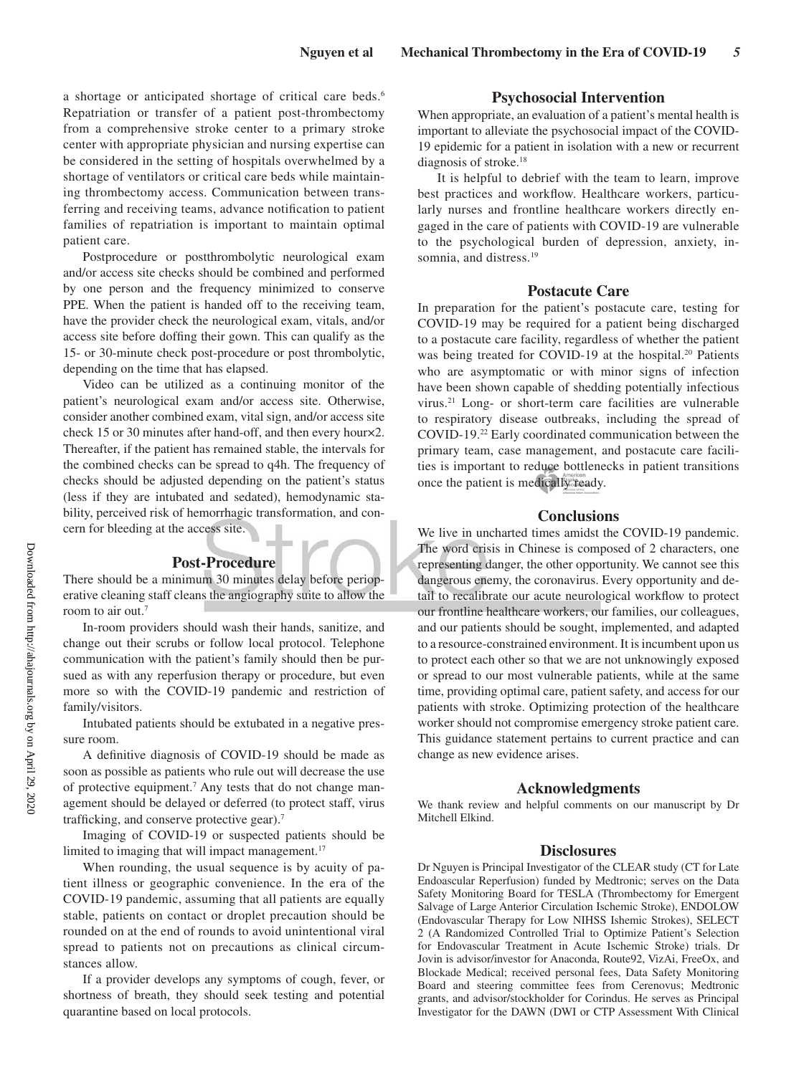a shortage or anticipated shortage of critical care beds.<sup>6</sup> Repatriation or transfer of a patient post-thrombectomy from a comprehensive stroke center to a primary stroke center with appropriate physician and nursing expertise can be considered in the setting of hospitals overwhelmed by a shortage of ventilators or critical care beds while maintaining thrombectomy access. Communication between transferring and receiving teams, advance notification to patient families of repatriation is important to maintain optimal patient care.

Postprocedure or postthrombolytic neurological exam and/or access site checks should be combined and performed by one person and the frequency minimized to conserve PPE. When the patient is handed off to the receiving team, have the provider check the neurological exam, vitals, and/or access site before doffing their gown. This can qualify as the 15- or 30-minute check post-procedure or post thrombolytic, depending on the time that has elapsed.

Video can be utilized as a continuing monitor of the patient's neurological exam and/or access site. Otherwise, consider another combined exam, vital sign, and/or access site check 15 or 30 minutes after hand-off, and then every hour×2. Thereafter, if the patient has remained stable, the intervals for the combined checks can be spread to q4h. The frequency of checks should be adjusted depending on the patient's status (less if they are intubated and sedated), hemodynamic stability, perceived risk of hemorrhagic transformation, and concern for bleeding at the access site.

### **Post-Procedure**

There should be a minimum 30 minutes delay before perioperative cleaning staff cleans the angiography suite to allow the room to air out.<sup>7</sup>

In-room providers should wash their hands, sanitize, and change out their scrubs or follow local protocol. Telephone communication with the patient's family should then be pursued as with any reperfusion therapy or procedure, but even more so with the COVID-19 pandemic and restriction of family/visitors.

Intubated patients should be extubated in a negative pressure room.

A definitive diagnosis of COVID-19 should be made as soon as possible as patients who rule out will decrease the use of protective equipment.<sup>7</sup> Any tests that do not change management should be delayed or deferred (to protect staff, virus trafficking, and conserve protective gear).<sup>7</sup>

Imaging of COVID-19 or suspected patients should be limited to imaging that will impact management.<sup>17</sup>

When rounding, the usual sequence is by acuity of patient illness or geographic convenience. In the era of the COVID-19 pandemic, assuming that all patients are equally stable, patients on contact or droplet precaution should be rounded on at the end of rounds to avoid unintentional viral spread to patients not on precautions as clinical circumstances allow.

If a provider develops any symptoms of cough, fever, or shortness of breath, they should seek testing and potential quarantine based on local protocols.

## **Psychosocial Intervention**

When appropriate, an evaluation of a patient's mental health is important to alleviate the psychosocial impact of the COVID-19 epidemic for a patient in isolation with a new or recurrent diagnosis of stroke.<sup>18</sup>

It is helpful to debrief with the team to learn, improve best practices and workflow. Healthcare workers, particularly nurses and frontline healthcare workers directly engaged in the care of patients with COVID-19 are vulnerable to the psychological burden of depression, anxiety, insomnia, and distress.<sup>19</sup>

#### **Postacute Care**

In preparation for the patient's postacute care, testing for COVID-19 may be required for a patient being discharged to a postacute care facility, regardless of whether the patient was being treated for COVID-19 at the hospital.<sup>20</sup> Patients who are asymptomatic or with minor signs of infection have been shown capable of shedding potentially infectious virus.21 Long- or short-term care facilities are vulnerable to respiratory disease outbreaks, including the spread of COVID-19.22 Early coordinated communication between the primary team, case management, and postacute care facilities is important to reduce bottlenecks in patient transitions once the patient is medically ready.

#### **Conclusions**

We live in uncharted times amidst the COVID-19 pandemic. The word crisis in Chinese is composed of 2 characters, one representing danger, the other opportunity. We cannot see this dangerous enemy, the coronavirus. Every opportunity and detail to recalibrate our acute neurological workflow to protect our frontline healthcare workers, our families, our colleagues, and our patients should be sought, implemented, and adapted to a resource-constrained environment. It is incumbent upon us to protect each other so that we are not unknowingly exposed or spread to our most vulnerable patients, while at the same time, providing optimal care, patient safety, and access for our patients with stroke. Optimizing protection of the healthcare worker should not compromise emergency stroke patient care. This guidance statement pertains to current practice and can change as new evidence arises.

#### **Acknowledgments**

We thank review and helpful comments on our manuscript by Dr Mitchell Elkind.

#### **Disclosures**

Dr Nguyen is Principal Investigator of the CLEAR study (CT for Late Endoascular Reperfusion) funded by Medtronic; serves on the Data Safety Monitoring Board for TESLA (Thrombectomy for Emergent Salvage of Large Anterior Circulation Ischemic Stroke), ENDOLOW (Endovascular Therapy for Low NIHSS Ishemic Strokes), SELECT 2 (A Randomized Controlled Trial to Optimize Patient's Selection for Endovascular Treatment in Acute Ischemic Stroke) trials. Dr Jovin is advisor/investor for Anaconda, Route92, VizAi, FreeOx, and Blockade Medical; received personal fees, Data Safety Monitoring Board and steering committee fees from Cerenovus; Medtronic grants, and advisor/stockholder for Corindus. He serves as Principal Investigator for the DAWN (DWI or CTP Assessment With Clinical